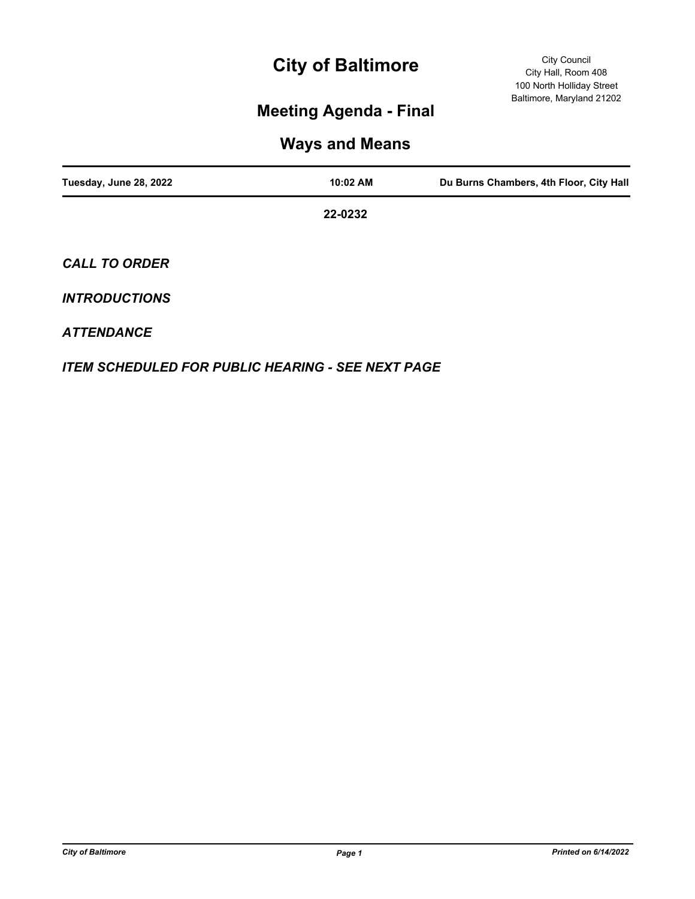# **City of Baltimore**

## **Meeting Agenda - Final**

## **Ways and Means**

| Tuesday, June 28, 2022 | 10:02 AM | Du Burns Chambers, 4th Floor, City Hall |
|------------------------|----------|-----------------------------------------|
|                        | 22-0232  |                                         |
| <b>CALL TO ORDER</b>   |          |                                         |

### *INTRODUCTIONS*

#### *ATTENDANCE*

*ITEM SCHEDULED FOR PUBLIC HEARING - SEE NEXT PAGE*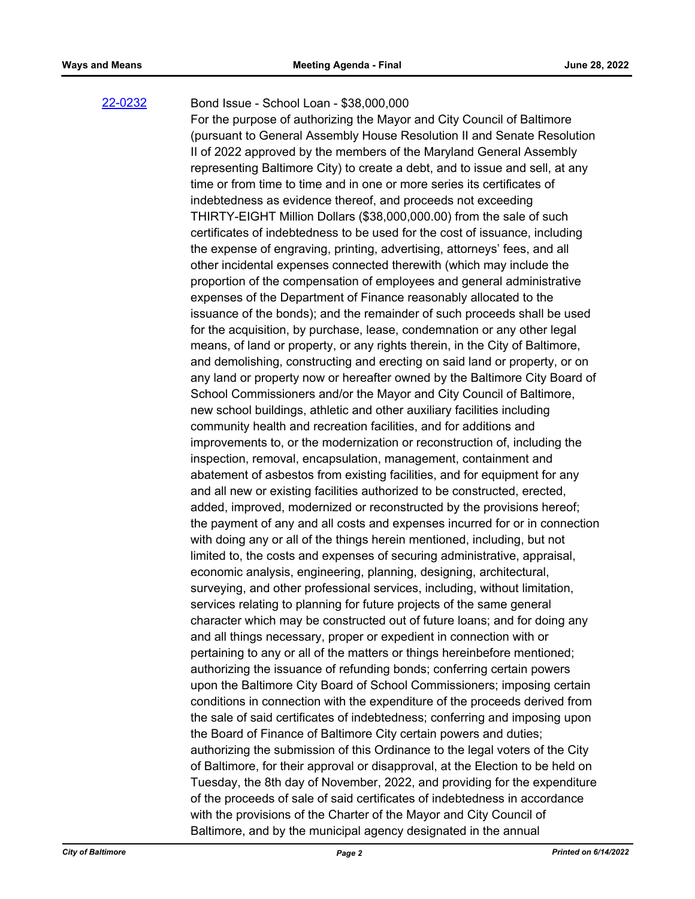#### [22-0232](http://baltimore.legistar.com/gateway.aspx?m=l&id=/matter.aspx?key=9121)

Bond Issue - School Loan - \$38,000,000

For the purpose of authorizing the Mayor and City Council of Baltimore (pursuant to General Assembly House Resolution II and Senate Resolution II of 2022 approved by the members of the Maryland General Assembly representing Baltimore City) to create a debt, and to issue and sell, at any time or from time to time and in one or more series its certificates of indebtedness as evidence thereof, and proceeds not exceeding THIRTY-EIGHT Million Dollars (\$38,000,000.00) from the sale of such certificates of indebtedness to be used for the cost of issuance, including the expense of engraving, printing, advertising, attorneys' fees, and all other incidental expenses connected therewith (which may include the proportion of the compensation of employees and general administrative expenses of the Department of Finance reasonably allocated to the issuance of the bonds); and the remainder of such proceeds shall be used for the acquisition, by purchase, lease, condemnation or any other legal means, of land or property, or any rights therein, in the City of Baltimore, and demolishing, constructing and erecting on said land or property, or on any land or property now or hereafter owned by the Baltimore City Board of School Commissioners and/or the Mayor and City Council of Baltimore, new school buildings, athletic and other auxiliary facilities including community health and recreation facilities, and for additions and improvements to, or the modernization or reconstruction of, including the inspection, removal, encapsulation, management, containment and abatement of asbestos from existing facilities, and for equipment for any and all new or existing facilities authorized to be constructed, erected, added, improved, modernized or reconstructed by the provisions hereof; the payment of any and all costs and expenses incurred for or in connection with doing any or all of the things herein mentioned, including, but not limited to, the costs and expenses of securing administrative, appraisal, economic analysis, engineering, planning, designing, architectural, surveying, and other professional services, including, without limitation, services relating to planning for future projects of the same general character which may be constructed out of future loans; and for doing any and all things necessary, proper or expedient in connection with or pertaining to any or all of the matters or things hereinbefore mentioned; authorizing the issuance of refunding bonds; conferring certain powers upon the Baltimore City Board of School Commissioners; imposing certain conditions in connection with the expenditure of the proceeds derived from the sale of said certificates of indebtedness; conferring and imposing upon the Board of Finance of Baltimore City certain powers and duties; authorizing the submission of this Ordinance to the legal voters of the City of Baltimore, for their approval or disapproval, at the Election to be held on Tuesday, the 8th day of November, 2022, and providing for the expenditure of the proceeds of sale of said certificates of indebtedness in accordance with the provisions of the Charter of the Mayor and City Council of Baltimore, and by the municipal agency designated in the annual